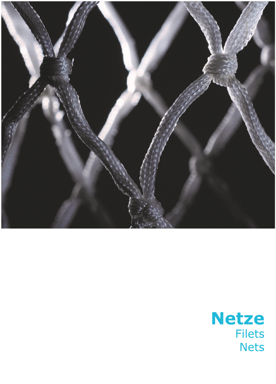

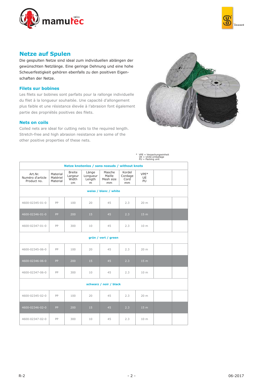



# **Netze auf Spulen**

Die gespulten Netze sind ideal zum individuellen ablängen der gewünschten Netzlänge. Eine geringe Dehnung und eine hohe Scheuerfestigkeit gehören ebenfalls zu den positiven Eigenschaften der Netze.

## **Filets sur bobines**

Les filets sur bobines sont parfaits pour la rallonge individuelle du filet à la longueur souhaitée. Une capacité d'allongement plus faible et une résistance élevée à l'abrasion font également partie des propriétés positives des filets.

#### **Nets on coils**

Coiled nets are ideal for cutting nets to the required length. Stretch-free and high abrasion resistance are some of the other positive properties of these nets.



|                                            |                                               |                                         |                                  |                                     |                                 | * VPE = Verpackungseinheit<br>UE = Unité emballage<br>PU = Packing unit |  |  |  |  |  |
|--------------------------------------------|-----------------------------------------------|-----------------------------------------|----------------------------------|-------------------------------------|---------------------------------|-------------------------------------------------------------------------|--|--|--|--|--|
|                                            | Netze knotenlos / sans noeuds / without knots |                                         |                                  |                                     |                                 |                                                                         |  |  |  |  |  |
| Art.Nr.<br>Numéro d'article<br>Product no. | Material<br>Matériel<br>Material              | <b>Breite</b><br>Largeur<br>Width<br>cm | Länge<br>Longueur<br>Length<br>m | Masche<br>Maille<br>Mesh size<br>mm | Kordel<br>Cordage<br>Cord<br>mm | VPE*<br>UE<br>PU                                                        |  |  |  |  |  |
| weiss / blanc / white                      |                                               |                                         |                                  |                                     |                                 |                                                                         |  |  |  |  |  |
| 4600-02345-01-0                            | PP                                            | 100                                     | 20                               | 45                                  | 2.3                             | 20 <sub>m</sub>                                                         |  |  |  |  |  |
| 4600-02346-01-0                            | PP                                            | 200                                     | 15                               | 45                                  | 2.3                             | 15 <sub>m</sub>                                                         |  |  |  |  |  |
| 4600-02347-01-0                            | PP                                            | 300                                     | 10                               | 45                                  | 2.3                             | 10 m                                                                    |  |  |  |  |  |
|                                            |                                               |                                         |                                  | grün / vert / green                 |                                 |                                                                         |  |  |  |  |  |
| 4600-02345-06-0                            | PP                                            | 100                                     | 20                               | 45                                  | 2.3                             | 20 m                                                                    |  |  |  |  |  |
| 4600-02346-06-0                            | PP                                            | 200                                     | 15                               | 45                                  | 2.3                             | 15 <sub>m</sub>                                                         |  |  |  |  |  |
| 4600-02347-06-0                            | PP                                            | 300                                     | 10                               | 45                                  | 2.3                             | 10 m                                                                    |  |  |  |  |  |
| schwarz / noir / black                     |                                               |                                         |                                  |                                     |                                 |                                                                         |  |  |  |  |  |
| 4600-02345-02-0                            | PP                                            | 100                                     | 20                               | 45                                  | 2.3                             | 20 <sub>m</sub>                                                         |  |  |  |  |  |
| 4600-02346-02-0                            | PP                                            | 200                                     | 15                               | 45                                  | 2.3                             | 15 <sub>m</sub>                                                         |  |  |  |  |  |
| 4600-02347-02-0                            | PP                                            | 300                                     | 10                               | 45                                  | 2.3                             | 10 m                                                                    |  |  |  |  |  |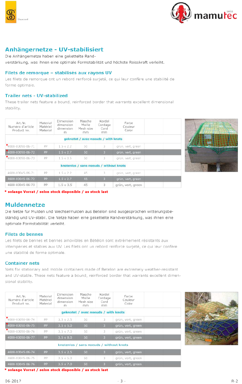



# Anhängernetze - UV-stabilisiert

Die Anhängernetze haben eine gekettelte Randverstärkung, was ihnen eine optimale Formstabilität und höchste Reisskraft verleiht.

### Filets de remorque - stabilisés aux rayons UV

Les filets de remorque ont un rebord renforcé surjeté, ce qui leur confère une stabilité de forme optimale.

## Trailer nets - UV-stabilized

These trailer nets feature a bound, reinforced border that warrants excellent dimensional stability.

| Art.Nr.<br>Numéro d'article<br>Product no. | Material<br>Matériel<br>Material | Dimension<br>dimension<br>dimension<br>m | Masche<br>Maille<br>Mesh size<br>mm     | Kordel<br>Cordage<br>Cord<br>mm | Farbe<br>Couleur<br>Color |  |
|--------------------------------------------|----------------------------------|------------------------------------------|-----------------------------------------|---------------------------------|---------------------------|--|
|                                            |                                  |                                          | geknotet / avec noeuds / with knots     |                                 |                           |  |
| *4000-03050-06-71                          | PP                               | $1.5 \times 2.2$                         | 50                                      | 3                               | grün, vert, green         |  |
| *4000-03050-06-72                          | PP                               | $1.5 \times 2.7$                         | 50                                      | $\overline{3}$                  | grün, vert, green         |  |
| *4000-03050-06-73                          | PP.                              | $1.5 \times 3.5$                         | 50                                      | 3                               | grün, vert, green         |  |
|                                            |                                  |                                          | knotenlos / sans noeuds / without knots |                                 |                           |  |
| 4600-03045-06-71                           | PP                               | $1.5 \times 2.2$                         | 45                                      | 3                               | grün, vert, green         |  |
| 4600-03045-06-72                           | PP                               | $1.5 \times 2.7$                         | 45                                      | $\overline{3}$                  | grün, vert, green         |  |
| 4600-03045-06-73                           | pp                               | $1.5 \times 3.5$                         | 45                                      | $\overline{3}$                  | grün, vert, green         |  |



\* solange Vorrat / selon stock disponible / as stock last

# **Muldennetze**

Die Netze für Mulden und Wechselmulden aus Betelon sind ausgesprochen witterungsbeständig und UV-stabil. Die Netze haben eine gekettelte Randverstärkung, was ihnen eine optimale Formstabilität verleiht.

## **Filets de bennes**

Les filets de bennes et bennes amovibles en Bétélon sont extrêmement résistants aux intempéries et stables aux UV. Les filets ont un rebord renforcé surjeté, ce qui leur confère une stabilité de forme optimale.

## **Container nets**

Nets for stationary and mobile containers made of Betelon are extremely weather-resistant and UV-stable. These nets feature a bound, reinforced border that warrants excellent dimensional stability.

| Art.Nr.<br>Numéro d'article<br>Product no. | Material<br>Matériel<br>Material | Dimension<br>dimension<br>dimension<br>m | Masche<br>Maille<br>Mesh size<br>mm     | Kordel<br>Cordage<br>Cord<br>mm | Farbe<br>Couleur<br>Color |  |
|--------------------------------------------|----------------------------------|------------------------------------------|-----------------------------------------|---------------------------------|---------------------------|--|
|                                            |                                  |                                          | geknotet / avec noeuds / with knots     |                                 |                           |  |
| $*$ 4000-03050-06-74                       | pp                               | $3.5 \times 2.5$                         | 50                                      | 3                               | grün, vert, green         |  |
| 4000-03050-06-75                           | PP                               | $3.5 \times 5.0$                         | 50                                      | $\overline{3}$                  | grün, vert, green         |  |
| *4000-03050-06-76                          | pp                               | $3.5 \times 7.0$                         | 50                                      | 3                               | grün, vert, green         |  |
| 4000-03050-06-77                           | PP.                              | $3.5 \times 8.0$                         | 50                                      | $\overline{\mathbf{3}}$         | grün, vert, green         |  |
|                                            |                                  |                                          | knotenlos / sans noeuds / without knots |                                 |                           |  |
| 4600-03045-06-74                           | PP                               | $3.5 \times 2.5$                         | 50                                      | $\overline{3}$                  | grün, vert, green.        |  |
| 4600-03045-06-75                           | pp                               | $3.5 \times 5.0$                         | 50                                      | 3                               | grün, vert, green         |  |
| ACOD DODAE DC 76                           | <b>DD</b>                        | $2.5 \times 70$                          | ESA                                     | $\mathbb{R}^2$                  | ariin vart aroon          |  |



\* solange Vorrat / selon stock disponible / as stock last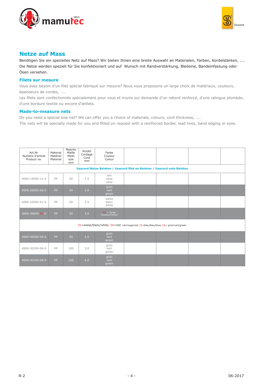



## **Netze auf Mass**

Benötigen Sie ein spezielles Netz auf Mass? Wir bieten Ihnen eine breite Auswahl an Materialen, Farben, Kordelstärken, .... Die Netze werden speziell für Sie konfektioniert und auf Wunsch mit Randverstärkung, Bleileine, Bandeinfassung oder Ösen versehen.

### **Filets sur mesure**

Vous avez besoin d'un filet spécial fabriqué sur mesure? Nous vous proposons un large choix de matériaux, couleurs, épaisseurs de cordes, ....

Les filets sont confectionnés spécialement pour vous et munis sur demande d'un rebord renforcé, d'une ralingue plombée, d'une bordure textile ou encore d'œillets.

#### **Made-to-measure nets**

Do you need a special size net? We can offer you a choice of materials, colours, cord thickness, .... The nets will be specially made for you and fitted on request with a reinforced border, lead lines, band edging or eyes.

| Art.Nr.<br>Numéro d'article<br>Product no.                                          | Material<br>Matériel<br>Material | Masche<br>Maille<br>Mesh<br>size<br>mm | Kordel<br>Cordage<br>Cord<br>mm | Farbe<br>Couleur<br>Colour     |  |  |  |  |  |  |
|-------------------------------------------------------------------------------------|----------------------------------|----------------------------------------|---------------------------------|--------------------------------|--|--|--|--|--|--|
| Usacord Netze Beleton / Usacord filet en Beleton / Usacord nets Beleton             |                                  |                                        |                                 |                                |  |  |  |  |  |  |
| 4000-15050-11-0                                                                     | PP                               | 50                                     | 1.5                             | oliv<br>olive<br>olive         |  |  |  |  |  |  |
| 4000-20050-06-0                                                                     | PP                               | 50                                     | 2.0                             | grün<br>vert<br>green          |  |  |  |  |  |  |
| 4000-25050-01-0                                                                     | PP                               | 50                                     | 2.5                             | weiss<br>blanc<br>white        |  |  |  |  |  |  |
| 4000-30050-XX-0                                                                     | PP                               | 50                                     | 3.0                             | $XX =$ Farbe<br>Couleur/Colour |  |  |  |  |  |  |
| 01=weiss/blanc/white, 04=rot/ rot/rouge/red, 05=blau/bleu/blue, 06= grün/vert/green |                                  |                                        |                                 |                                |  |  |  |  |  |  |
| 4000-40050-06-0                                                                     | <b>PP</b>                        | 50                                     | 4.0                             | grün<br>vert<br>green          |  |  |  |  |  |  |
| 4000-30100-06-0                                                                     | PP                               | 100                                    | 3.0                             | grün<br>vert<br>green          |  |  |  |  |  |  |
| 4000-40100-06-0                                                                     | PP                               | 100                                    | 4.0                             | grün<br>vert<br>green          |  |  |  |  |  |  |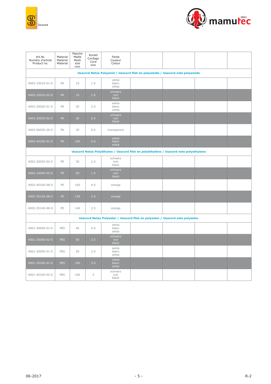



| Art.Nr.<br>Numéro d'article<br>Product no.                                    | Material<br>Matériel<br>Material | Masche<br>Maille<br>Mesh<br>size<br>mm | Kordel<br>Cordage<br>Cord<br>mm | Farbe<br>Couleur<br>Colour |  |                                                                                       |  |  |  |  |
|-------------------------------------------------------------------------------|----------------------------------|----------------------------------------|---------------------------------|----------------------------|--|---------------------------------------------------------------------------------------|--|--|--|--|
| Usacord Netze Polyamid / Usacord filet en polyamide / Usacord nets polyamide  |                                  |                                        |                                 |                            |  |                                                                                       |  |  |  |  |
| 4003-10010-01-0                                                               | PA                               | 10                                     | 1.0                             | weiss<br>blanc<br>white    |  |                                                                                       |  |  |  |  |
| 4003-10010-02-0                                                               | PA                               | 10                                     | 1.0                             | schwarz<br>noir<br>black   |  |                                                                                       |  |  |  |  |
| 4003-20020-01-0                                                               | PA                               | 20                                     | 2.0                             | weiss<br>blanc<br>white    |  |                                                                                       |  |  |  |  |
| 4003-20020-02-0                                                               | PA                               | 20                                     | 2.0                             | schwarz<br>noir<br>black   |  |                                                                                       |  |  |  |  |
| 4003-06030-26-0                                                               | PA                               | 30                                     | 0.6                             | transparent                |  |                                                                                       |  |  |  |  |
| 4003-40100-01-0                                                               | PA                               | 100                                    | 4.0                             | weiss<br>blanc<br>white    |  |                                                                                       |  |  |  |  |
|                                                                               |                                  |                                        |                                 |                            |  | Usacord Netze Polyäthylen / Usacord filet en polyéthylène / Usacord nets polyethylene |  |  |  |  |
| 4002-20030-02-0                                                               | PE                               | 30                                     | 2.0                             | schwarz<br>noir<br>black   |  |                                                                                       |  |  |  |  |
| 4002-14050-02-0                                                               | PE                               | 50                                     | 1.4                             | schwarz<br>noir<br>black   |  |                                                                                       |  |  |  |  |
| 4002-40100-08-0                                                               | PE                               | 100                                    | 4.0                             | orange                     |  |                                                                                       |  |  |  |  |
| 4002-30130-08-0                                                               | PE                               | 130                                    | 3.0                             | orange                     |  |                                                                                       |  |  |  |  |
| 4002-25140-08-0                                                               | PE                               | 140                                    | 2.5                             | orange                     |  |                                                                                       |  |  |  |  |
| Usacord Netze Polyester / Usacord filet en polyester / Usacord nets polyester |                                  |                                        |                                 |                            |  |                                                                                       |  |  |  |  |
| 4001-40040-01-0                                                               | PES                              | 40                                     | 4.0                             | weiss<br>blanc<br>white    |  |                                                                                       |  |  |  |  |
| 4001-25050-02-0                                                               | <b>PES</b>                       | 50                                     | 2.5                             | schwarz<br>noir<br>black   |  |                                                                                       |  |  |  |  |
| 4001-30050-01-0                                                               | PES                              | 50                                     | 3.0                             | weiss<br>blanc<br>white    |  |                                                                                       |  |  |  |  |
| 4001-30100-01-0                                                               | <b>PES</b>                       | 100                                    | 3.0                             | weiss<br>blanc<br>white    |  |                                                                                       |  |  |  |  |
| 4001-40100-02-0                                                               | PES                              | 100                                    | $\overline{4}$                  | schwarz<br>noir<br>black   |  |                                                                                       |  |  |  |  |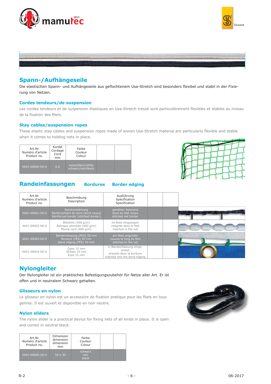





# **Spann-/Aufhängeseile**

Die elastischen Spann- und Aufhängeseile aus geflochtenem Usa-Stretch sind besonders flexibel und stabil in der Fixierung von Netzen.

#### **Cordes tendeurs/de suspension**

Les cordes tendeurs et de suspension élastiques en Usa-Stretch tressé sont particulièrement flexibles et stables au niveau de la fixation des filets.

#### **Stay cables/suspension ropes**

These elastic stay cables and suspension ropes made of woven Usa-Stretch material are particularly flexible and stable when it comes to holding nets in place.

| Kordel<br>Art.Nr.<br>Cordage<br>Numéro d'article<br>Cord<br>Product no.<br>mm |     | Farbe<br>Couleur<br>Colour              |  |
|-------------------------------------------------------------------------------|-----|-----------------------------------------|--|
| 4401-00060-00-0                                                               | 6.0 | weiss/blanc/white<br>schwarz/noir/black |  |





| Art.Nr.<br>Numéro d'article<br>Product no. | Beschreibung<br>Description                                                                 | Ausführung<br>Spécification<br>Specification                                                   |  |
|--------------------------------------------|---------------------------------------------------------------------------------------------|------------------------------------------------------------------------------------------------|--|
| 4401-00001-00-0                            | Randverstärkung<br>Renforcement du bord (bord cousu)<br>Reinforced border (stitched border) | genähter Netzrand<br>bord du filet cousu<br>stitched net border                                |  |
| 4401-00002-00-0                            | Bleileine (400 g/m)<br>Ralingue plombée (400 g/m)<br>Plumb cord (400 g/m)                   | im Netz eingezogen<br>intégrée dans le filet<br>inserted in the net                            |  |
| 4401-00003-00-0                            | Bandeinfassung (PES) 50 mm<br>Bordure (PES) 50 mm<br>Band edging (PES) 50 mm                | am Netz angenäht<br>cousue le long du filet<br>stitched to the net                             |  |
| 4401-00004-00-0                            | Ösen 15 mm<br><b>Eillets 15 mm</b><br>Eyes 15 mm                                            | in Bandeinfassung einge-<br>presst<br>pressés dans la bordure<br>injected into the band edging |  |

# **Nylongleiter**

Der Nylongleiter ist ein praktisches Befestigungszubehör für Netze aller Art. Er ist offen und in neutralem Schwarz gehalten.

### **Glisseurs en nylon**

Le glisseur en nylon est un accessoire de fixation pratique pour les filets en tous genres. Il est ouvert et disponible en noir neutre.

### **Nylon sliders**

The nylon slider is a practical device for fixing nets of all kinds in place. It is open and comes in neutral black.

| Art.Nr.<br>Numéro d'article<br>Product no. | Dimension<br>dimension<br>dimension<br>mm | Farbe<br>Couleur<br>Colour      |  |
|--------------------------------------------|-------------------------------------------|---------------------------------|--|
| 4401-00005-00-0                            | $54 \times 30$                            | schwarz<br>noir<br><b>black</b> |  |